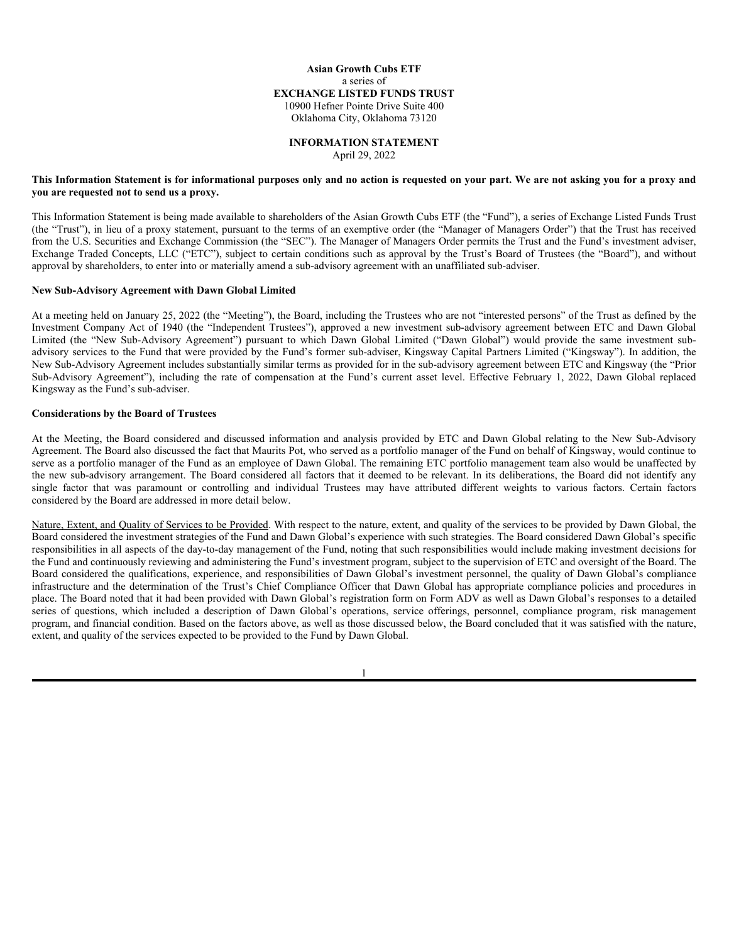## **Asian Growth Cubs ETF** a series of **EXCHANGE LISTED FUNDS TRUST** 10900 Hefner Pointe Drive Suite 400 Oklahoma City, Oklahoma 73120

# **INFORMATION STATEMENT**

April 29, 2022

### **This Information Statement is for informational purposes only and no action is requested on your part. We are not asking you for a proxy and you are requested not to send us a proxy.**

This Information Statement is being made available to shareholders of the Asian Growth Cubs ETF (the "Fund"), a series of Exchange Listed Funds Trust (the "Trust"), in lieu of a proxy statement, pursuant to the terms of an exemptive order (the "Manager of Managers Order") that the Trust has received from the U.S. Securities and Exchange Commission (the "SEC"). The Manager of Managers Order permits the Trust and the Fund's investment adviser, Exchange Traded Concepts, LLC ("ETC"), subject to certain conditions such as approval by the Trust's Board of Trustees (the "Board"), and without approval by shareholders, to enter into or materially amend a sub-advisory agreement with an unaffiliated sub-adviser.

#### **New Sub-Advisory Agreement with Dawn Global Limited**

At a meeting held on January 25, 2022 (the "Meeting"), the Board, including the Trustees who are not "interested persons" of the Trust as defined by the Investment Company Act of 1940 (the "Independent Trustees"), approved a new investment sub-advisory agreement between ETC and Dawn Global Limited (the "New Sub-Advisory Agreement") pursuant to which Dawn Global Limited ("Dawn Global") would provide the same investment subadvisory services to the Fund that were provided by the Fund's former sub-adviser, Kingsway Capital Partners Limited ("Kingsway"). In addition, the New Sub-Advisory Agreement includes substantially similar terms as provided for in the sub-advisory agreement between ETC and Kingsway (the "Prior Sub-Advisory Agreement"), including the rate of compensation at the Fund's current asset level. Effective February 1, 2022, Dawn Global replaced Kingsway as the Fund's sub-adviser.

## **Considerations by the Board of Trustees**

At the Meeting, the Board considered and discussed information and analysis provided by ETC and Dawn Global relating to the New Sub-Advisory Agreement. The Board also discussed the fact that Maurits Pot, who served as a portfolio manager of the Fund on behalf of Kingsway, would continue to serve as a portfolio manager of the Fund as an employee of Dawn Global. The remaining ETC portfolio management team also would be unaffected by the new sub-advisory arrangement. The Board considered all factors that it deemed to be relevant. In its deliberations, the Board did not identify any single factor that was paramount or controlling and individual Trustees may have attributed different weights to various factors. Certain factors considered by the Board are addressed in more detail below.

Nature, Extent, and Quality of Services to be Provided. With respect to the nature, extent, and quality of the services to be provided by Dawn Global, the Board considered the investment strategies of the Fund and Dawn Global's experience with such strategies. The Board considered Dawn Global's specific responsibilities in all aspects of the day-to-day management of the Fund, noting that such responsibilities would include making investment decisions for the Fund and continuously reviewing and administering the Fund's investment program, subject to the supervision of ETC and oversight of the Board. The Board considered the qualifications, experience, and responsibilities of Dawn Global's investment personnel, the quality of Dawn Global's compliance infrastructure and the determination of the Trust's Chief Compliance Officer that Dawn Global has appropriate compliance policies and procedures in place. The Board noted that it had been provided with Dawn Global's registration form on Form ADV as well as Dawn Global's responses to a detailed series of questions, which included a description of Dawn Global's operations, service offerings, personnel, compliance program, risk management program, and financial condition. Based on the factors above, as well as those discussed below, the Board concluded that it was satisfied with the nature, extent, and quality of the services expected to be provided to the Fund by Dawn Global.

1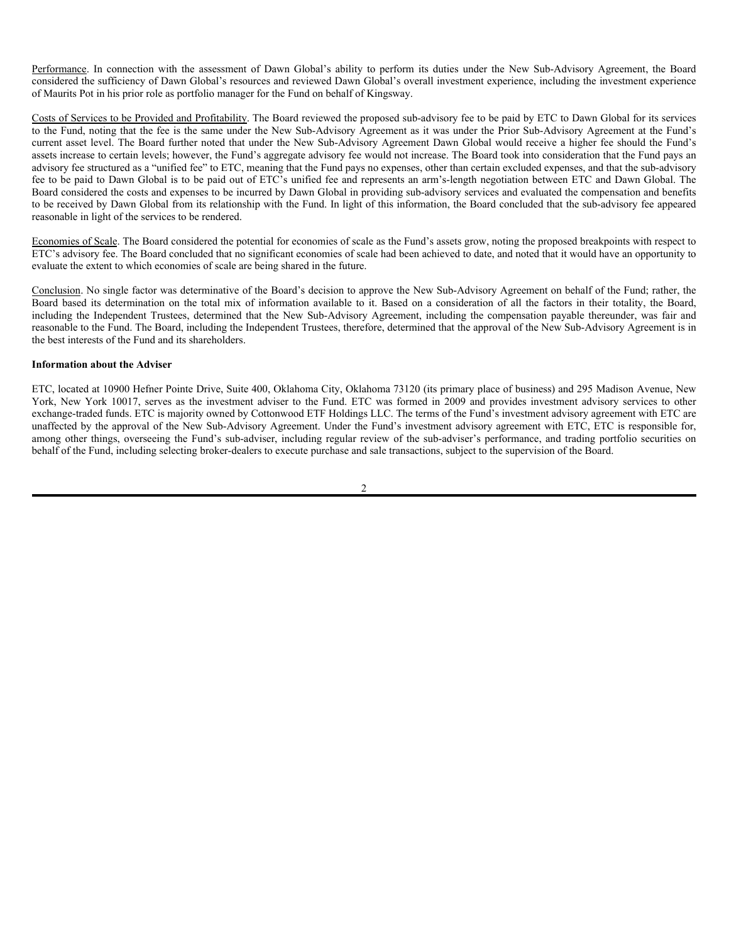Performance. In connection with the assessment of Dawn Global's ability to perform its duties under the New Sub-Advisory Agreement, the Board considered the sufficiency of Dawn Global's resources and reviewed Dawn Global's overall investment experience, including the investment experience of Maurits Pot in his prior role as portfolio manager for the Fund on behalf of Kingsway.

Costs of Services to be Provided and Profitability. The Board reviewed the proposed sub-advisory fee to be paid by ETC to Dawn Global for its services to the Fund, noting that the fee is the same under the New Sub-Advisory Agreement as it was under the Prior Sub-Advisory Agreement at the Fund's current asset level. The Board further noted that under the New Sub-Advisory Agreement Dawn Global would receive a higher fee should the Fund's assets increase to certain levels; however, the Fund's aggregate advisory fee would not increase. The Board took into consideration that the Fund pays an advisory fee structured as a "unified fee" to ETC, meaning that the Fund pays no expenses, other than certain excluded expenses, and that the sub-advisory fee to be paid to Dawn Global is to be paid out of ETC's unified fee and represents an arm's-length negotiation between ETC and Dawn Global. The Board considered the costs and expenses to be incurred by Dawn Global in providing sub-advisory services and evaluated the compensation and benefits to be received by Dawn Global from its relationship with the Fund. In light of this information, the Board concluded that the sub-advisory fee appeared reasonable in light of the services to be rendered.

Economies of Scale. The Board considered the potential for economies of scale as the Fund's assets grow, noting the proposed breakpoints with respect to ETC's advisory fee. The Board concluded that no significant economies of scale had been achieved to date, and noted that it would have an opportunity to evaluate the extent to which economies of scale are being shared in the future.

Conclusion. No single factor was determinative of the Board's decision to approve the New Sub-Advisory Agreement on behalf of the Fund; rather, the Board based its determination on the total mix of information available to it. Based on a consideration of all the factors in their totality, the Board, including the Independent Trustees, determined that the New Sub-Advisory Agreement, including the compensation payable thereunder, was fair and reasonable to the Fund. The Board, including the Independent Trustees, therefore, determined that the approval of the New Sub-Advisory Agreement is in the best interests of the Fund and its shareholders.

### **Information about the Adviser**

ETC, located at 10900 Hefner Pointe Drive, Suite 400, Oklahoma City, Oklahoma 73120 (its primary place of business) and 295 Madison Avenue, New York, New York 10017, serves as the investment adviser to the Fund. ETC was formed in 2009 and provides investment advisory services to other exchange-traded funds. ETC is majority owned by Cottonwood ETF Holdings LLC. The terms of the Fund's investment advisory agreement with ETC are unaffected by the approval of the New Sub-Advisory Agreement. Under the Fund's investment advisory agreement with ETC, ETC is responsible for, among other things, overseeing the Fund's sub-adviser, including regular review of the sub-adviser's performance, and trading portfolio securities on behalf of the Fund, including selecting broker-dealers to execute purchase and sale transactions, subject to the supervision of the Board.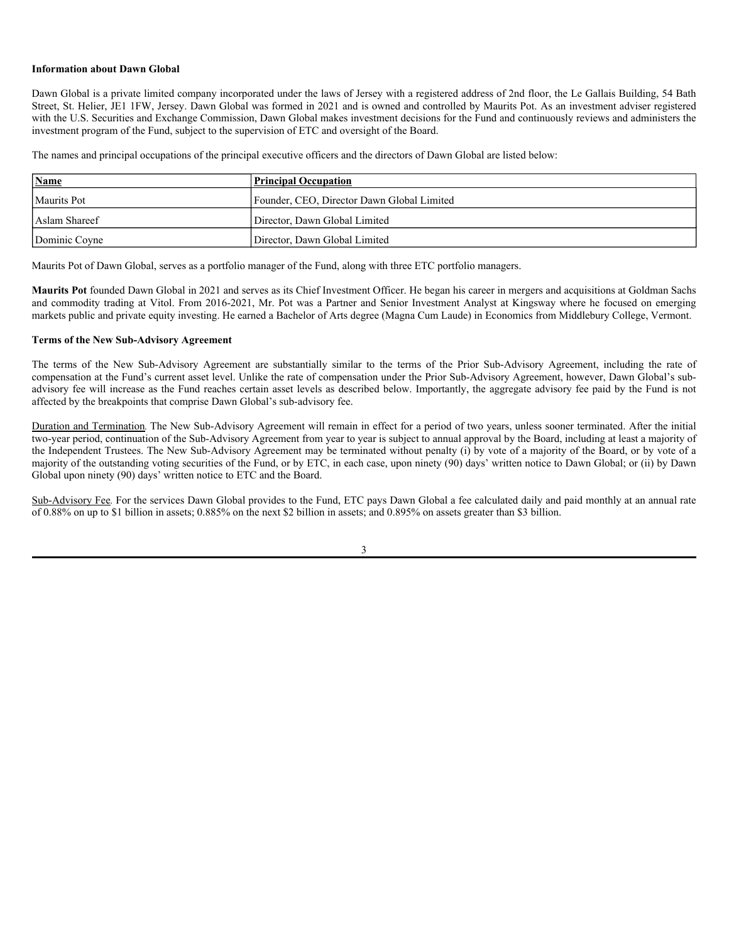### **Information about Dawn Global**

Dawn Global is a private limited company incorporated under the laws of Jersey with a registered address of 2nd floor, the Le Gallais Building, 54 Bath Street, St. Helier, JE1 1FW, Jersey. Dawn Global was formed in 2021 and is owned and controlled by Maurits Pot. As an investment adviser registered with the U.S. Securities and Exchange Commission, Dawn Global makes investment decisions for the Fund and continuously reviews and administers the investment program of the Fund, subject to the supervision of ETC and oversight of the Board.

The names and principal occupations of the principal executive officers and the directors of Dawn Global are listed below:

| <b>Name</b>   | <b>Principal Occupation</b>                |  |
|---------------|--------------------------------------------|--|
| Maurits Pot   | Founder, CEO, Director Dawn Global Limited |  |
| Aslam Shareef | Director, Dawn Global Limited              |  |
| Dominic Covne | Director, Dawn Global Limited              |  |

Maurits Pot of Dawn Global, serves as a portfolio manager of the Fund, along with three ETC portfolio managers.

**Maurits Pot** founded Dawn Global in 2021 and serves as its Chief Investment Officer. He began his career in mergers and acquisitions at Goldman Sachs and commodity trading at Vitol. From 2016-2021, Mr. Pot was a Partner and Senior Investment Analyst at Kingsway where he focused on emerging markets public and private equity investing. He earned a Bachelor of Arts degree (Magna Cum Laude) in Economics from Middlebury College, Vermont.

### **Terms of the New Sub-Advisory Agreement**

The terms of the New Sub-Advisory Agreement are substantially similar to the terms of the Prior Sub-Advisory Agreement, including the rate of compensation at the Fund's current asset level. Unlike the rate of compensation under the Prior Sub-Advisory Agreement, however, Dawn Global's subadvisory fee will increase as the Fund reaches certain asset levels as described below. Importantly, the aggregate advisory fee paid by the Fund is not affected by the breakpoints that comprise Dawn Global's sub-advisory fee.

Duration and Termination*.* The New Sub-Advisory Agreement will remain in effect for a period of two years, unless sooner terminated. After the initial two-year period, continuation of the Sub-Advisory Agreement from year to year is subject to annual approval by the Board, including at least a majority of the Independent Trustees. The New Sub-Advisory Agreement may be terminated without penalty (i) by vote of a majority of the Board, or by vote of a majority of the outstanding voting securities of the Fund, or by ETC, in each case, upon ninety (90) days' written notice to Dawn Global; or (ii) by Dawn Global upon ninety (90) days' written notice to ETC and the Board.

Sub-Advisory Fee*.* For the services Dawn Global provides to the Fund, ETC pays Dawn Global a fee calculated daily and paid monthly at an annual rate of 0.88% on up to \$1 billion in assets; 0.885% on the next \$2 billion in assets; and 0.895% on assets greater than \$3 billion.